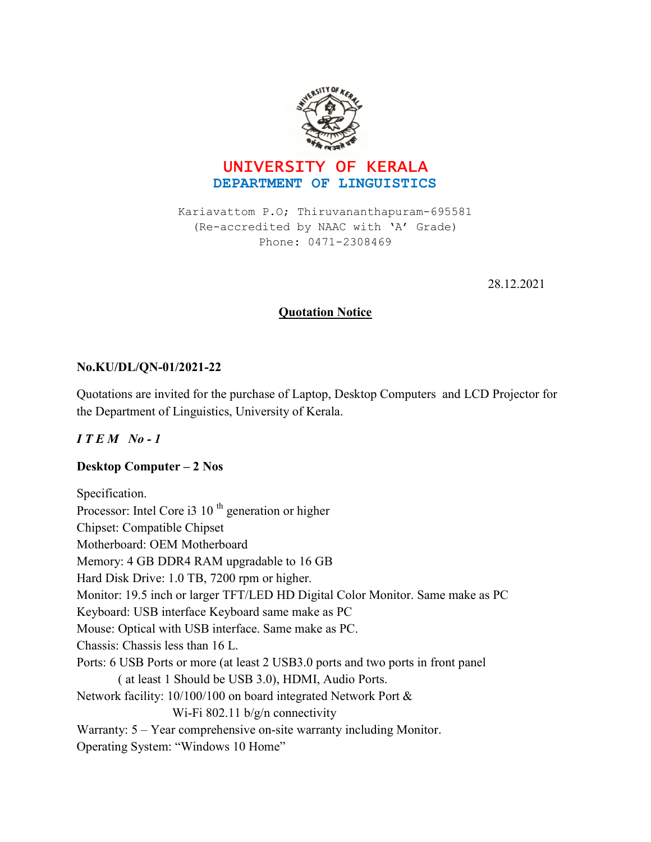



Kariavattom P.O; Thiruvananthapuram-695581 (Re-accredited by NAAC with 'A' Grade) Phone: 0471-2308469

28.12.2021

## **Quotation Notice**

## No.KU/DL/QN-01/2021-22

Quotations are invited for the purchase of Laptop, Desktop Computers and LCD Projector for the Department of Linguistics, University of Kerala.

# $I T E M N o - 1$

## Desktop Computer – 2 Nos

Specification. Processor: Intel Core i3 10<sup>th</sup> generation or higher Chipset: Compatible Chipset Motherboard: OEM Motherboard Memory: 4 GB DDR4 RAM upgradable to 16 GB Hard Disk Drive: 1.0 TB, 7200 rpm or higher. Monitor: 19.5 inch or larger TFT/LED HD Digital Color Monitor. Same make as PC Keyboard: USB interface Keyboard same make as PC Mouse: Optical with USB interface. Same make as PC. Chassis: Chassis less than 16 L. Ports: 6 USB Ports or more (at least 2 USB3.0 ports and two ports in front panel ( at least 1 Should be USB 3.0), HDMI, Audio Ports. Network facility: 10/100/100 on board integrated Network Port & Wi-Fi 802.11 b/g/n connectivity Warranty: 5 – Year comprehensive on-site warranty including Monitor. Operating System: "Windows 10 Home"